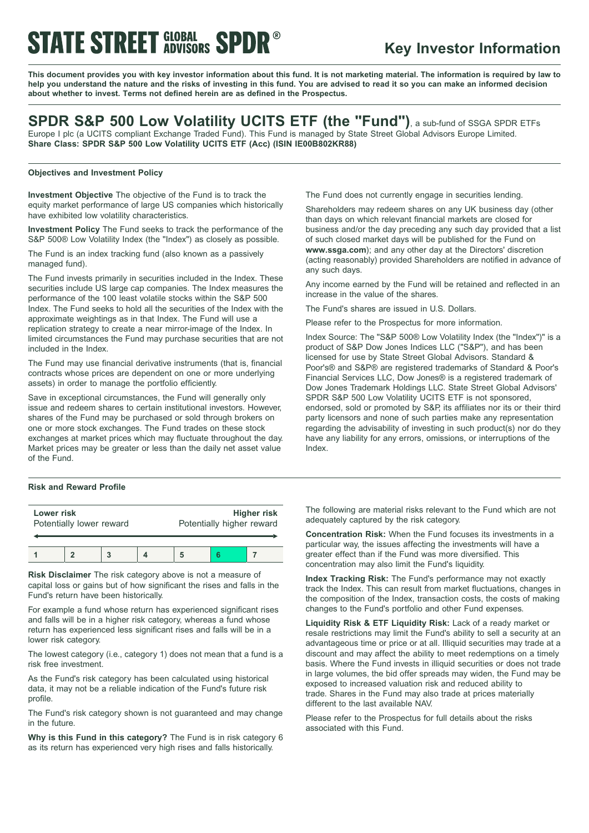# **STATE STREET GLOBAL SPDR®**

### **Key Investor Information**

This document provides you with key investor information about this fund. It is not marketing material. The information is required by law to help you understand the nature and the risks of investing in this fund. You are advised to read it so you can make an informed decision **about whether to invest. Terms not defined herein are as defined in the Prospectus.**

### **SPDR S&P 500 Low Volatility UCITS ETF (the "Fund")**, <sup>a</sup> sub-fund of SSGA SPDR ETFs Europe I plc (a UCITS compliant Exchange Traded Fund). This Fund is managed by State Street Global Advisors Europe Limited.

**Share Class: SPDR S&P 500 Low Volatility UCITS ETF (Acc) (ISIN IE00B802KR88)**

#### **Objectives and Investment Policy**

**Investment Objective** The objective of the Fund is to track the equity market performance of large US companies which historically have exhibited low volatility characteristics.

**Investment Policy** The Fund seeks to track the performance of the S&P 500® Low Volatility Index (the "Index") as closely as possible.

The Fund is an index tracking fund (also known as a passively managed fund).

The Fund invests primarily in securities included in the Index. These securities include US large cap companies. The Index measures the performance of the 100 least volatile stocks within the S&P 500 Index. The Fund seeks to hold all the securities of the Index with the approximate weightings as in that Index. The Fund will use a replication strategy to create a near mirror-image of the Index. In limited circumstances the Fund may purchase securities that are not included in the Index.

The Fund may use financial derivative instruments (that is, financial contracts whose prices are dependent on one or more underlying assets) in order to manage the portfolio efficiently.

Save in exceptional circumstances, the Fund will generally only issue and redeem shares to certain institutional investors. However, shares of the Fund may be purchased or sold through brokers on one or more stock exchanges. The Fund trades on these stock exchanges at market prices which may fluctuate throughout the day. Market prices may be greater or less than the daily net asset value of the Fund.

#### **Risk and Reward Profile**

| Lower risk               |  |  |  | <b>Higher risk</b>        |  |  |
|--------------------------|--|--|--|---------------------------|--|--|
| Potentially lower reward |  |  |  | Potentially higher reward |  |  |
|                          |  |  |  |                           |  |  |

**Risk Disclaimer** The risk category above is not a measure of capital loss or gains but of how significant the rises and falls in the Fund's return have been historically.

For example a fund whose return has experienced significant rises and falls will be in a higher risk category, whereas a fund whose return has experienced less significant rises and falls will be in a lower risk category.

The lowest category (i.e., category 1) does not mean that a fund is a risk free investment.

As the Fund's risk category has been calculated using historical data, it may not be a reliable indication of the Fund's future risk profile.

The Fund's risk category shown is not guaranteed and may change in the future.

**Why is this Fund in this category?** The Fund is in risk category 6 as its return has experienced very high rises and falls historically.

The Fund does not currently engage in securities lending.

Shareholders may redeem shares on any UK business day (other than days on which relevant financial markets are closed for business and/or the day preceding any such day provided that a list of such closed market days will be published for the Fund on **www.ssga.com**); and any other day at the Directors' discretion (acting reasonably) provided Shareholders are notified in advance of any such days.

Any income earned by the Fund will be retained and reflected in an increase in the value of the shares.

The Fund's shares are issued in U.S. Dollars.

Please refer to the Prospectus for more information.

Index Source: The "S&P 500® Low Volatility Index (the "Index")" is a product of S&P Dow Jones Indices LLC ("S&P"), and has been licensed for use by State Street Global Advisors. Standard & Poor's® and S&P® are registered trademarks of Standard & Poor's Financial Services LLC, Dow Jones® is a registered trademark of Dow Jones Trademark Holdings LLC. State Street Global Advisors' SPDR S&P 500 Low Volatility UCITS ETF is not sponsored. endorsed, sold or promoted by S&P, its affiliates nor its or their third party licensors and none of such parties make any representation regarding the advisability of investing in such product(s) nor do they have any liability for any errors, omissions, or interruptions of the Index.

The following are material risks relevant to the Fund which are not adequately captured by the risk category.

**Concentration Risk:** When the Fund focuses its investments in a particular way, the issues affecting the investments will have a greater effect than if the Fund was more diversified. This concentration may also limit the Fund's liquidity.

**Index Tracking Risk:** The Fund's performance may not exactly track the Index. This can result from market fluctuations, changes in the composition of the Index, transaction costs, the costs of making changes to the Fund's portfolio and other Fund expenses.

**Liquidity Risk & ETF Liquidity Risk:** Lack of a ready market or resale restrictions may limit the Fund's ability to sell a security at an advantageous time or price or at all. Illiquid securities may trade at a discount and may affect the ability to meet redemptions on a timely basis. Where the Fund invests in illiquid securities or does not trade in large volumes, the bid offer spreads may widen, the Fund may be exposed to increased valuation risk and reduced ability to trade. Shares in the Fund may also trade at prices materially different to the last available NAV.

Please refer to the Prospectus for full details about the risks associated with this Fund.